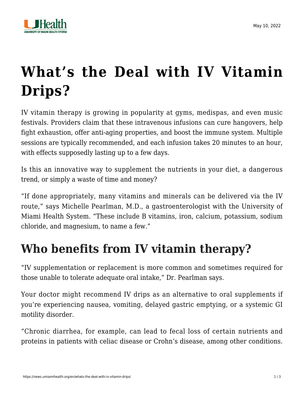

## **[What's the Deal with IV Vitamin](https://news.umiamihealth.org/en/whats-the-deal-with-iv-vitamin-drips/) [Drips?](https://news.umiamihealth.org/en/whats-the-deal-with-iv-vitamin-drips/)**

IV vitamin therapy is growing in popularity at gyms, medispas, and even music festivals. Providers claim that these intravenous infusions can cure hangovers, help fight exhaustion, offer anti-aging properties, and boost the immune system. Multiple sessions are typically recommended, and each infusion takes 20 minutes to an hour, with effects supposedly lasting up to a few days.

Is this an innovative way to supplement the nutrients in your diet, a dangerous trend, or simply a waste of time and money?

"If done appropriately, many vitamins and minerals can be delivered via the IV route," says [Michelle Pearlman, M.D.,](https://doctors.umiamihealth.org/provider/Michelle+Pearlman/746488?name=Michelle%20Pearlman&sort=relevance&tt=7494f841-d130-47ee-976e-99dc57bb6285&ut=66f23840-13fd-4e6a-85e7-7690560ef315×tamp=2021-01-29T15%3A11%3A59.356Z) a gastroenterologist with the University of Miami Health System. "These include B vitamins, iron, calcium, potassium, sodium chloride, and magnesium, to name a few."

## **Who benefits from IV vitamin therapy?**

"IV supplementation or replacement is more common and sometimes required for those unable to tolerate adequate oral intake," Dr. Pearlman says.

Your doctor might recommend IV drips as an alternative to oral supplements if you're experiencing nausea, vomiting, delayed gastric emptying, or a systemic GI motility disorder.

"Chronic diarrhea, for example, can lead to fecal loss of certain nutrients and proteins in patients with celiac disease or Crohn's disease, among other conditions.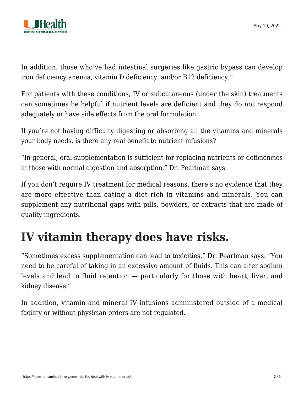

In addition, those who've had intestinal surgeries like gastric bypass can develop iron deficiency anemia, vitamin D deficiency, and/or B12 deficiency."

For patients with these conditions, IV or subcutaneous (under the skin) treatments can sometimes be helpful if nutrient levels are deficient and they do not respond adequately or have side effects from the oral formulation.

If you're not having difficulty digesting or absorbing all the vitamins and minerals your body needs, is there any real benefit to nutrient infusions?

"In general, oral supplementation is sufficient for replacing nutrients or deficiencies in those with normal digestion and absorption," Dr. Pearlman says.

If you don't require IV treatment for medical reasons, there's no evidence that they are more effective than eating a diet rich in vitamins and minerals. You can supplement any nutritional gaps with pills, powders, or extracts that are made of quality ingredients.

## **IV vitamin therapy does have risks.**

"Sometimes excess supplementation can lead to toxicities," Dr. Pearlman says. "You need to be careful of taking in an excessive amount of fluids. This can alter sodium levels and lead to fluid retention — particularly for those with heart, liver, and kidney disease."

In addition, vitamin and mineral IV infusions administered outside of a medical facility or without physician orders are not regulated.